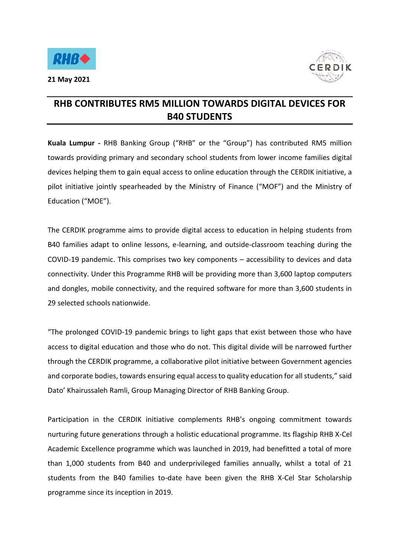

**21 May 2021** 



## **RHB CONTRIBUTES RM5 MILLION TOWARDS DIGITAL DEVICES FOR B40 STUDENTS**

**Kuala Lumpur -** RHB Banking Group ("RHB" or the "Group") has contributed RM5 million towards providing primary and secondary school students from lower income families digital devices helping them to gain equal access to online education through the CERDIK initiative, a pilot initiative jointly spearheaded by the Ministry of Finance ("MOF") and the Ministry of Education ("MOE").

The CERDIK programme aims to provide digital access to education in helping students from B40 families adapt to online lessons, e-learning, and outside-classroom teaching during the COVID-19 pandemic. This comprises two key components – accessibility to devices and data connectivity. Under this Programme RHB will be providing more than 3,600 laptop computers and dongles, mobile connectivity, and the required software for more than 3,600 students in 29 selected schools nationwide.

"The prolonged COVID-19 pandemic brings to light gaps that exist between those who have access to digital education and those who do not. This digital divide will be narrowed further through the CERDIK programme, a collaborative pilot initiative between Government agencies and corporate bodies, towards ensuring equal access to quality education for all students," said Dato' Khairussaleh Ramli, Group Managing Director of RHB Banking Group.

Participation in the CERDIK initiative complements RHB's ongoing commitment towards nurturing future generations through a holistic educational programme. Its flagship RHB X-Cel Academic Excellence programme which was launched in 2019, had benefitted a total of more than 1,000 students from B40 and underprivileged families annually, whilst a total of 21 students from the B40 families to-date have been given the RHB X-Cel Star Scholarship programme since its inception in 2019.